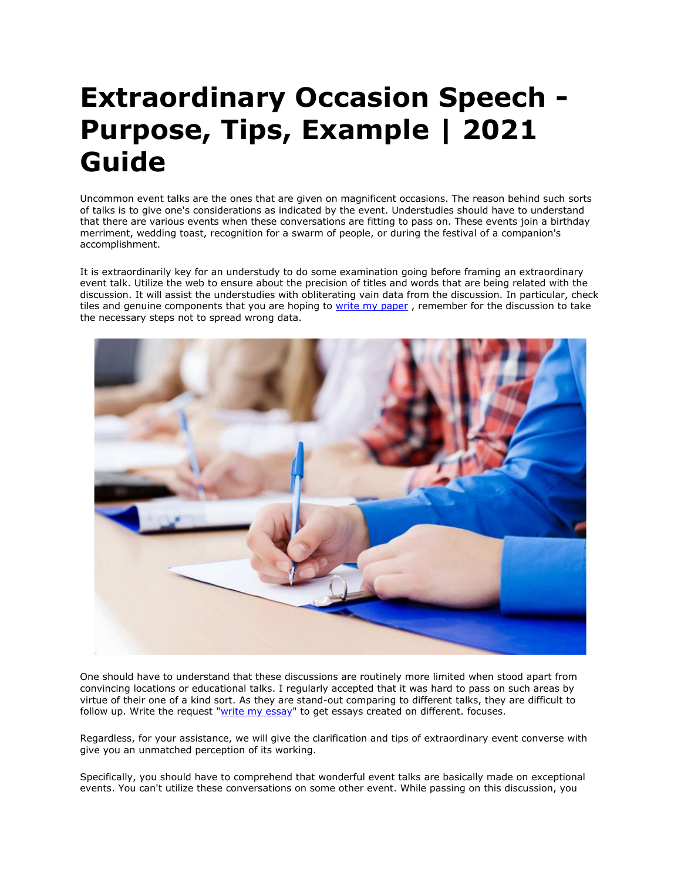## **Extraordinary Occasion Speech - Purpose, Tips, Example | 2021 Guide**

Uncommon event talks are the ones that are given on magnificent occasions. The reason behind such sorts of talks is to give one's considerations as indicated by the event. Understudies should have to understand that there are various events when these conversations are fitting to pass on. These events join a birthday merriment, wedding toast, recognition for a swarm of people, or during the festival of a companion's accomplishment.

It is extraordinarily key for an understudy to do some examination going before framing an extraordinary event talk. Utilize the web to ensure about the precision of titles and words that are being related with the discussion. It will assist the understudies with obliterating vain data from the discussion. In particular, check tiles and genuine components that you are hoping to [write my paper](https://www.5staressays.com/write-my-paper), remember for the discussion to take the necessary steps not to spread wrong data.



One should have to understand that these discussions are routinely more limited when stood apart from convincing locations or educational talks. I regularly accepted that it was hard to pass on such areas by virtue of their one of a kind sort. As they are stand-out comparing to different talks, they are difficult to follow up. Write the request ["write my essay"](https://www.5staressays.com/) to get essays created on different. focuses.

Regardless, for your assistance, we will give the clarification and tips of extraordinary event converse with give you an unmatched perception of its working.

Specifically, you should have to comprehend that wonderful event talks are basically made on exceptional events. You can't utilize these conversations on some other event. While passing on this discussion, you